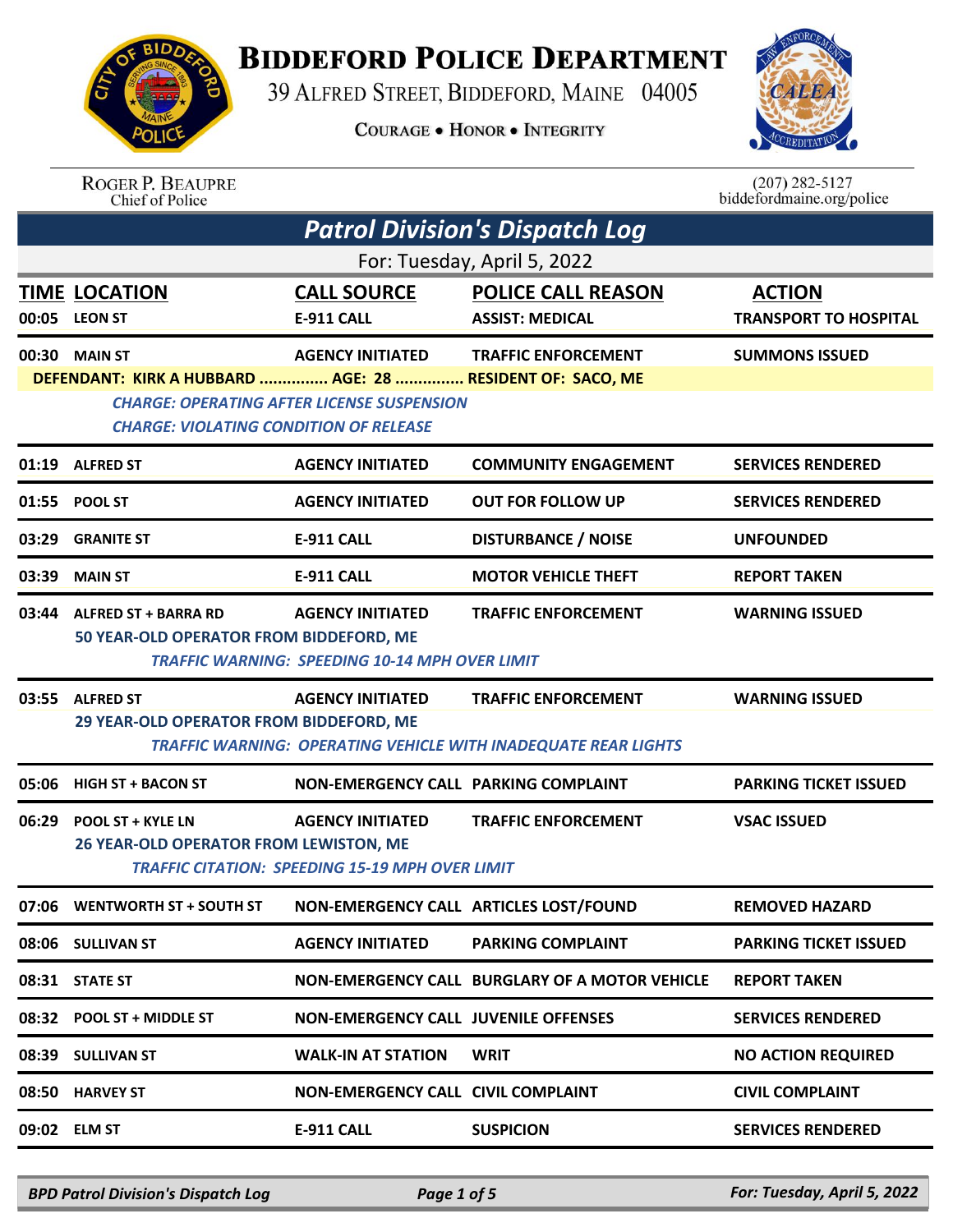

## **BIDDEFORD POLICE DEPARTMENT**

39 ALFRED STREET, BIDDEFORD, MAINE 04005

**COURAGE . HONOR . INTEGRITY** 



ROGER P. BEAUPRE<br>Chief of Police

 $(207)$  282-5127<br>biddefordmaine.org/police

|                             | <b>Patrol Division's Dispatch Log</b>                                                                   |                                             |                                                                       |                                               |  |  |
|-----------------------------|---------------------------------------------------------------------------------------------------------|---------------------------------------------|-----------------------------------------------------------------------|-----------------------------------------------|--|--|
| For: Tuesday, April 5, 2022 |                                                                                                         |                                             |                                                                       |                                               |  |  |
|                             | <b>TIME LOCATION</b><br>00:05 LEON ST                                                                   | <b>CALL SOURCE</b><br><b>E-911 CALL</b>     | <b>POLICE CALL REASON</b><br><b>ASSIST: MEDICAL</b>                   | <b>ACTION</b><br><b>TRANSPORT TO HOSPITAL</b> |  |  |
|                             | 00:30 MAIN ST                                                                                           | <b>AGENCY INITIATED</b>                     | <b>TRAFFIC ENFORCEMENT</b>                                            | <b>SUMMONS ISSUED</b>                         |  |  |
|                             | DEFENDANT: KIRK A HUBBARD  AGE: 28  RESIDENT OF: SACO, ME                                               |                                             |                                                                       |                                               |  |  |
|                             | <b>CHARGE: OPERATING AFTER LICENSE SUSPENSION</b><br><b>CHARGE: VIOLATING CONDITION OF RELEASE</b>      |                                             |                                                                       |                                               |  |  |
|                             | 01:19 ALFRED ST                                                                                         | <b>AGENCY INITIATED</b>                     | <b>COMMUNITY ENGAGEMENT</b>                                           | <b>SERVICES RENDERED</b>                      |  |  |
| 01:55                       | <b>POOL ST</b>                                                                                          | <b>AGENCY INITIATED</b>                     | <b>OUT FOR FOLLOW UP</b>                                              | <b>SERVICES RENDERED</b>                      |  |  |
| 03:29                       | <b>GRANITE ST</b>                                                                                       | <b>E-911 CALL</b>                           | <b>DISTURBANCE / NOISE</b>                                            | <b>UNFOUNDED</b>                              |  |  |
| 03:39                       | <b>MAIN ST</b>                                                                                          | <b>E-911 CALL</b>                           | <b>MOTOR VEHICLE THEFT</b>                                            | <b>REPORT TAKEN</b>                           |  |  |
| 03:44                       | ALFRED ST + BARRA RD                                                                                    | <b>AGENCY INITIATED</b>                     | <b>TRAFFIC ENFORCEMENT</b>                                            | <b>WARNING ISSUED</b>                         |  |  |
|                             | 50 YEAR-OLD OPERATOR FROM BIDDEFORD, ME<br><b>TRAFFIC WARNING: SPEEDING 10-14 MPH OVER LIMIT</b>        |                                             |                                                                       |                                               |  |  |
|                             | 03:55 ALFRED ST                                                                                         | <b>AGENCY INITIATED</b>                     | <b>TRAFFIC ENFORCEMENT</b>                                            | <b>WARNING ISSUED</b>                         |  |  |
|                             | 29 YEAR-OLD OPERATOR FROM BIDDEFORD, ME                                                                 |                                             | <b>TRAFFIC WARNING: OPERATING VEHICLE WITH INADEQUATE REAR LIGHTS</b> |                                               |  |  |
| 05:06                       | <b>HIGH ST + BACON ST</b>                                                                               | NON-EMERGENCY CALL PARKING COMPLAINT        |                                                                       | <b>PARKING TICKET ISSUED</b>                  |  |  |
| 06:29                       | <b>POOL ST + KYLE LN</b>                                                                                | <b>AGENCY INITIATED</b>                     | <b>TRAFFIC ENFORCEMENT</b>                                            | <b>VSAC ISSUED</b>                            |  |  |
|                             | <b>26 YEAR-OLD OPERATOR FROM LEWISTON, ME</b><br><b>TRAFFIC CITATION: SPEEDING 15-19 MPH OVER LIMIT</b> |                                             |                                                                       |                                               |  |  |
|                             | 07:06 WENTWORTH ST + SOUTH ST                                                                           |                                             | NON-EMERGENCY CALL ARTICLES LOST/FOUND                                | <b>REMOVED HAZARD</b>                         |  |  |
|                             | 08:06 SULLIVAN ST                                                                                       | <b>AGENCY INITIATED</b>                     | <b>PARKING COMPLAINT</b>                                              | <b>PARKING TICKET ISSUED</b>                  |  |  |
|                             | 08:31 STATE ST                                                                                          |                                             | NON-EMERGENCY CALL BURGLARY OF A MOTOR VEHICLE                        | <b>REPORT TAKEN</b>                           |  |  |
|                             | 08:32 POOL ST + MIDDLE ST                                                                               | <b>NON-EMERGENCY CALL JUVENILE OFFENSES</b> |                                                                       | <b>SERVICES RENDERED</b>                      |  |  |
|                             | 08:39 SULLIVAN ST                                                                                       | <b>WALK-IN AT STATION</b>                   | <b>WRIT</b>                                                           | <b>NO ACTION REQUIRED</b>                     |  |  |
|                             | 08:50 HARVEY ST                                                                                         | <b>NON-EMERGENCY CALL CIVIL COMPLAINT</b>   |                                                                       | <b>CIVIL COMPLAINT</b>                        |  |  |
|                             | 09:02 ELM ST                                                                                            | E-911 CALL                                  | <b>SUSPICION</b>                                                      | <b>SERVICES RENDERED</b>                      |  |  |
|                             |                                                                                                         |                                             |                                                                       |                                               |  |  |

*BPD Patrol Division's Dispatch Log Page 1 of 5 For: Tuesday, April 5, 2022*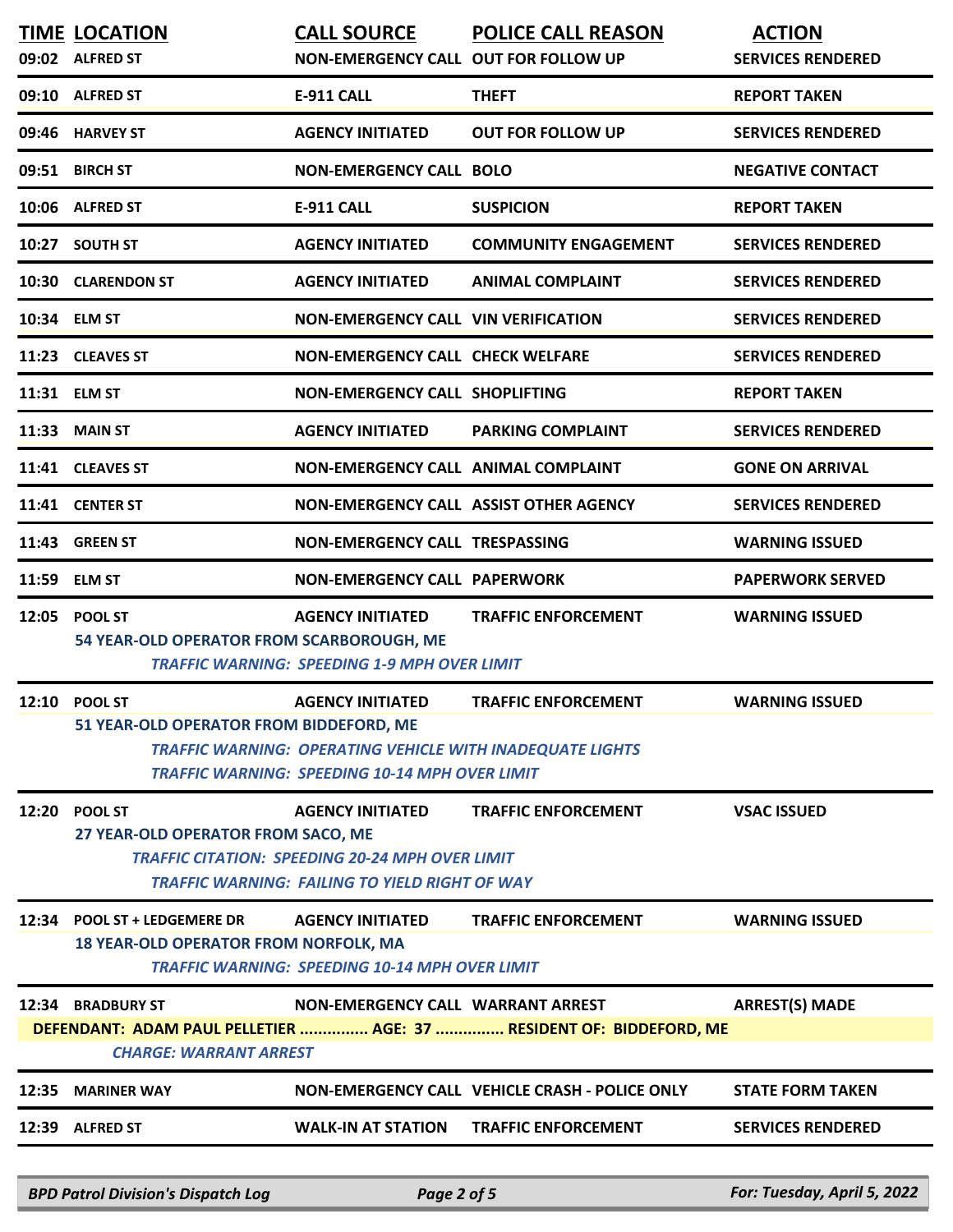|       | <b>TIME LOCATION</b><br>09:02 ALFRED ST                                       | <b>CALL SOURCE</b><br>NON-EMERGENCY CALL OUT FOR FOLLOW UP                                                                                           | <b>POLICE CALL REASON</b>                                           | <b>ACTION</b><br><b>SERVICES RENDERED</b> |
|-------|-------------------------------------------------------------------------------|------------------------------------------------------------------------------------------------------------------------------------------------------|---------------------------------------------------------------------|-------------------------------------------|
|       | 09:10 ALFRED ST                                                               | <b>E-911 CALL</b>                                                                                                                                    | <b>THEFT</b>                                                        | <b>REPORT TAKEN</b>                       |
|       | 09:46 HARVEY ST                                                               | <b>AGENCY INITIATED</b>                                                                                                                              | <b>OUT FOR FOLLOW UP</b>                                            | <b>SERVICES RENDERED</b>                  |
|       | 09:51 BIRCH ST                                                                | <b>NON-EMERGENCY CALL BOLO</b>                                                                                                                       |                                                                     | <b>NEGATIVE CONTACT</b>                   |
|       | 10:06 ALFRED ST                                                               | <b>E-911 CALL</b>                                                                                                                                    | <b>SUSPICION</b>                                                    | <b>REPORT TAKEN</b>                       |
|       | 10:27 SOUTH ST                                                                | <b>AGENCY INITIATED</b>                                                                                                                              | <b>COMMUNITY ENGAGEMENT</b>                                         | <b>SERVICES RENDERED</b>                  |
|       | 10:30 CLARENDON ST                                                            | <b>AGENCY INITIATED</b>                                                                                                                              | <b>ANIMAL COMPLAINT</b>                                             | <b>SERVICES RENDERED</b>                  |
|       | 10:34 ELM ST                                                                  | <b>NON-EMERGENCY CALL VIN VERIFICATION</b>                                                                                                           |                                                                     | <b>SERVICES RENDERED</b>                  |
|       | 11:23 CLEAVES ST                                                              | <b>NON-EMERGENCY CALL CHECK WELFARE</b>                                                                                                              |                                                                     | <b>SERVICES RENDERED</b>                  |
|       | 11:31 ELM ST                                                                  | NON-EMERGENCY CALL SHOPLIFTING                                                                                                                       |                                                                     | <b>REPORT TAKEN</b>                       |
| 11:33 | <b>MAIN ST</b>                                                                | <b>AGENCY INITIATED</b>                                                                                                                              | <b>PARKING COMPLAINT</b>                                            | <b>SERVICES RENDERED</b>                  |
|       | 11:41 CLEAVES ST                                                              | <b>NON-EMERGENCY CALL ANIMAL COMPLAINT</b>                                                                                                           |                                                                     | <b>GONE ON ARRIVAL</b>                    |
|       | 11:41 CENTER ST                                                               | NON-EMERGENCY CALL ASSIST OTHER AGENCY                                                                                                               |                                                                     | <b>SERVICES RENDERED</b>                  |
|       | 11:43 GREEN ST                                                                | NON-EMERGENCY CALL TRESPASSING                                                                                                                       |                                                                     | <b>WARNING ISSUED</b>                     |
|       | 11:59 ELM ST                                                                  | <b>NON-EMERGENCY CALL PAPERWORK</b>                                                                                                                  |                                                                     | <b>PAPERWORK SERVED</b>                   |
| 12:05 | <b>POOL ST</b><br>54 YEAR-OLD OPERATOR FROM SCARBOROUGH, ME                   | <b>AGENCY INITIATED</b><br><b>TRAFFIC WARNING: SPEEDING 1-9 MPH OVER LIMIT</b>                                                                       | <b>TRAFFIC ENFORCEMENT</b>                                          | <b>WARNING ISSUED</b>                     |
|       | 12:10 POOL ST<br>51 YEAR-OLD OPERATOR FROM BIDDEFORD, ME                      | <b>AGENCY INITIATED</b><br><b>TRAFFIC WARNING: OPERATING VEHICLE WITH INADEQUATE LIGHTS</b><br><b>TRAFFIC WARNING: SPEEDING 10-14 MPH OVER LIMIT</b> | <b>TRAFFIC ENFORCEMENT</b>                                          | <b>WARNING ISSUED</b>                     |
| 12:20 | <b>POOL ST</b><br>27 YEAR-OLD OPERATOR FROM SACO, ME                          | <b>AGENCY INITIATED</b><br><b>TRAFFIC CITATION: SPEEDING 20-24 MPH OVER LIMIT</b><br><b>TRAFFIC WARNING: FAILING TO YIELD RIGHT OF WAY</b>           | <b>TRAFFIC ENFORCEMENT</b>                                          | <b>VSAC ISSUED</b>                        |
| 12:34 | <b>POOL ST + LEDGEMERE DR</b><br><b>18 YEAR-OLD OPERATOR FROM NORFOLK, MA</b> | <b>AGENCY INITIATED</b><br><b>TRAFFIC WARNING: SPEEDING 10-14 MPH OVER LIMIT</b>                                                                     | <b>TRAFFIC ENFORCEMENT</b>                                          | <b>WARNING ISSUED</b>                     |
| 12:34 | <b>BRADBURY ST</b><br><b>CHARGE: WARRANT ARREST</b>                           | NON-EMERGENCY CALL WARRANT ARREST                                                                                                                    | DEFENDANT: ADAM PAUL PELLETIER  AGE: 37  RESIDENT OF: BIDDEFORD, ME | <b>ARREST(S) MADE</b>                     |
| 12:35 | <b>MARINER WAY</b>                                                            |                                                                                                                                                      | NON-EMERGENCY CALL VEHICLE CRASH - POLICE ONLY                      | <b>STATE FORM TAKEN</b>                   |
| 12:39 | <b>ALFRED ST</b>                                                              | <b>WALK-IN AT STATION</b>                                                                                                                            | <b>TRAFFIC ENFORCEMENT</b>                                          | <b>SERVICES RENDERED</b>                  |
|       | <b>BPD Patrol Division's Dispatch Log</b>                                     | Page 2 of 5                                                                                                                                          |                                                                     | For: Tuesday, April 5, 2022               |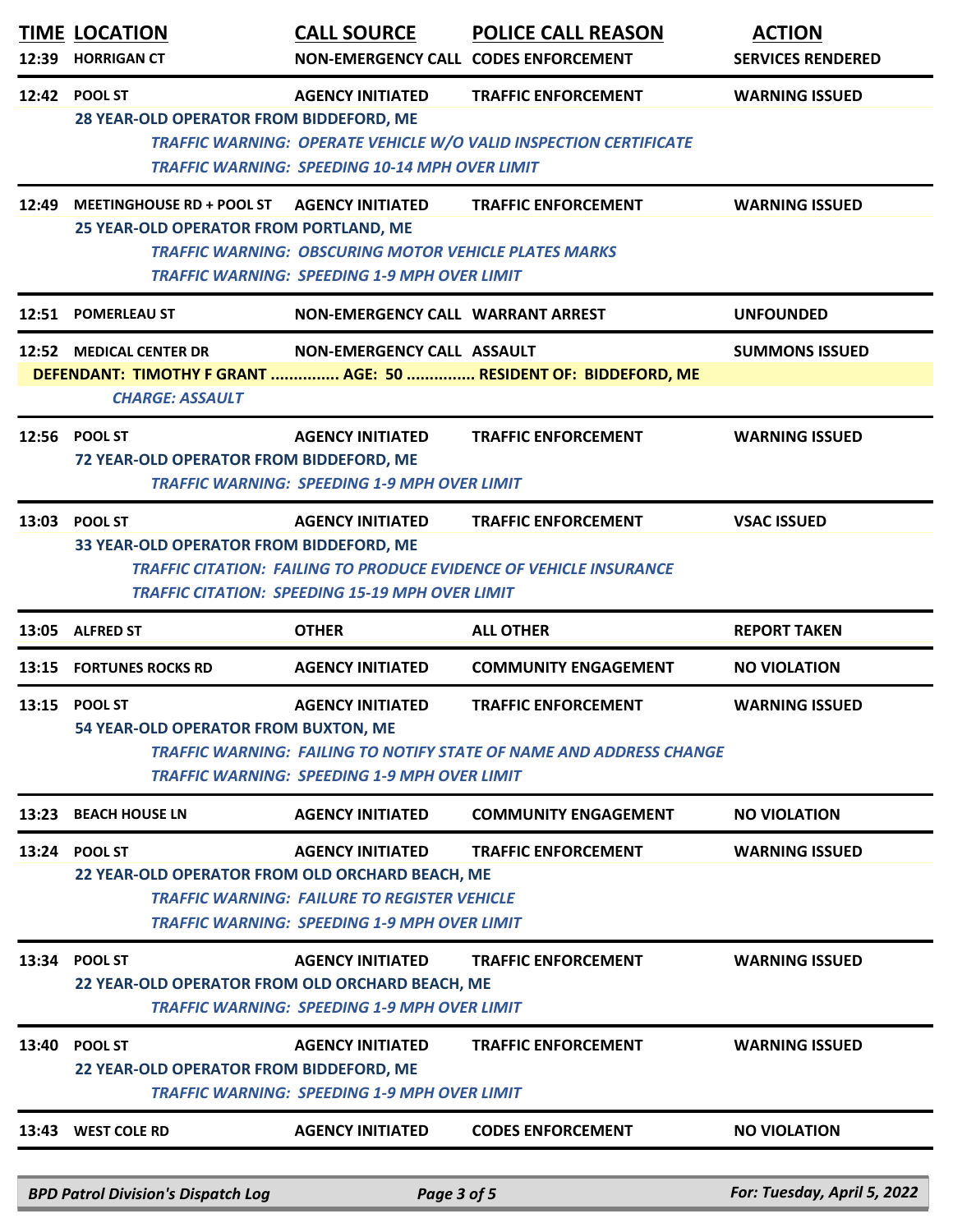|                         | <b>TIME LOCATION</b><br>12:39 HORRIGAN CT                                  | <b>CALL SOURCE</b><br>NON-EMERGENCY CALL CODES ENFORCEMENT                                                                                     | <b>POLICE CALL REASON</b>                                                                               | <b>ACTION</b><br><b>SERVICES RENDERED</b> |
|-------------------------|----------------------------------------------------------------------------|------------------------------------------------------------------------------------------------------------------------------------------------|---------------------------------------------------------------------------------------------------------|-------------------------------------------|
|                         | 12:42 POOL ST<br>28 YEAR-OLD OPERATOR FROM BIDDEFORD, ME                   | <b>AGENCY INITIATED</b><br><b>TRAFFIC WARNING: SPEEDING 10-14 MPH OVER LIMIT</b>                                                               | <b>TRAFFIC ENFORCEMENT</b><br><b>TRAFFIC WARNING: OPERATE VEHICLE W/O VALID INSPECTION CERTIFICATE</b>  | <b>WARNING ISSUED</b>                     |
| 12:49                   | <b>MEETINGHOUSE RD + POOL ST</b><br>25 YEAR-OLD OPERATOR FROM PORTLAND, ME | <b>AGENCY INITIATED</b><br><b>TRAFFIC WARNING: OBSCURING MOTOR VEHICLE PLATES MARKS</b><br><b>TRAFFIC WARNING: SPEEDING 1-9 MPH OVER LIMIT</b> | <b>TRAFFIC ENFORCEMENT</b>                                                                              | <b>WARNING ISSUED</b>                     |
|                         | 12:51 POMERLEAU ST                                                         | NON-EMERGENCY CALL WARRANT ARREST                                                                                                              |                                                                                                         | <b>UNFOUNDED</b>                          |
|                         | 12:52 MEDICAL CENTER DR<br><b>CHARGE: ASSAULT</b>                          | NON-EMERGENCY CALL ASSAULT                                                                                                                     | DEFENDANT: TIMOTHY F GRANT  AGE: 50  RESIDENT OF: BIDDEFORD, ME                                         | <b>SUMMONS ISSUED</b>                     |
|                         | 12:56 POOL ST<br>72 YEAR-OLD OPERATOR FROM BIDDEFORD, ME                   | <b>AGENCY INITIATED</b><br><b>TRAFFIC WARNING: SPEEDING 1-9 MPH OVER LIMIT</b>                                                                 | <b>TRAFFIC ENFORCEMENT</b>                                                                              | <b>WARNING ISSUED</b>                     |
|                         | 13:03 POOL ST<br>33 YEAR-OLD OPERATOR FROM BIDDEFORD, ME                   | <b>AGENCY INITIATED</b><br><b>TRAFFIC CITATION: SPEEDING 15-19 MPH OVER LIMIT</b>                                                              | <b>TRAFFIC ENFORCEMENT</b><br><b>TRAFFIC CITATION: FAILING TO PRODUCE EVIDENCE OF VEHICLE INSURANCE</b> | <b>VSAC ISSUED</b>                        |
|                         | 13:05 ALFRED ST                                                            | <b>OTHER</b>                                                                                                                                   | <b>ALL OTHER</b>                                                                                        | <b>REPORT TAKEN</b>                       |
|                         | 13:15 FORTUNES ROCKS RD                                                    | <b>AGENCY INITIATED</b>                                                                                                                        | <b>COMMUNITY ENGAGEMENT</b>                                                                             | <b>NO VIOLATION</b>                       |
|                         | 13:15 POOL ST<br>54 YEAR-OLD OPERATOR FROM BUXTON, ME                      | <b>AGENCY INITIATED</b><br><b>TRAFFIC WARNING: SPEEDING 1-9 MPH OVER LIMIT</b>                                                                 | <b>TRAFFIC ENFORCEMENT</b><br>TRAFFIC WARNING: FAILING TO NOTIFY STATE OF NAME AND ADDRESS CHANGE       | <b>WARNING ISSUED</b>                     |
| 13:23                   | <b>BEACH HOUSE LN</b>                                                      | <b>AGENCY INITIATED</b>                                                                                                                        | <b>COMMUNITY ENGAGEMENT</b>                                                                             | <b>NO VIOLATION</b>                       |
|                         | 13:24 POOL ST<br>22 YEAR-OLD OPERATOR FROM OLD ORCHARD BEACH, ME           | <b>AGENCY INITIATED</b>                                                                                                                        | <b>TRAFFIC ENFORCEMENT</b>                                                                              | <b>WARNING ISSUED</b>                     |
|                         |                                                                            | <b>TRAFFIC WARNING: FAILURE TO REGISTER VEHICLE</b><br><b>TRAFFIC WARNING: SPEEDING 1-9 MPH OVER LIMIT</b>                                     |                                                                                                         |                                           |
|                         | <b>POOL ST</b><br>22 YEAR-OLD OPERATOR FROM OLD ORCHARD BEACH, ME          | <b>AGENCY INITIATED</b><br><b>TRAFFIC WARNING: SPEEDING 1-9 MPH OVER LIMIT</b>                                                                 | <b>TRAFFIC ENFORCEMENT</b>                                                                              | <b>WARNING ISSUED</b>                     |
|                         | <b>POOL ST</b><br>22 YEAR-OLD OPERATOR FROM BIDDEFORD, ME                  | <b>AGENCY INITIATED</b><br><b>TRAFFIC WARNING: SPEEDING 1-9 MPH OVER LIMIT</b>                                                                 | <b>TRAFFIC ENFORCEMENT</b>                                                                              | <b>WARNING ISSUED</b>                     |
| 13:34<br>13:40<br>13:43 | <b>WEST COLE RD</b>                                                        | <b>AGENCY INITIATED</b>                                                                                                                        | <b>CODES ENFORCEMENT</b>                                                                                | <b>NO VIOLATION</b>                       |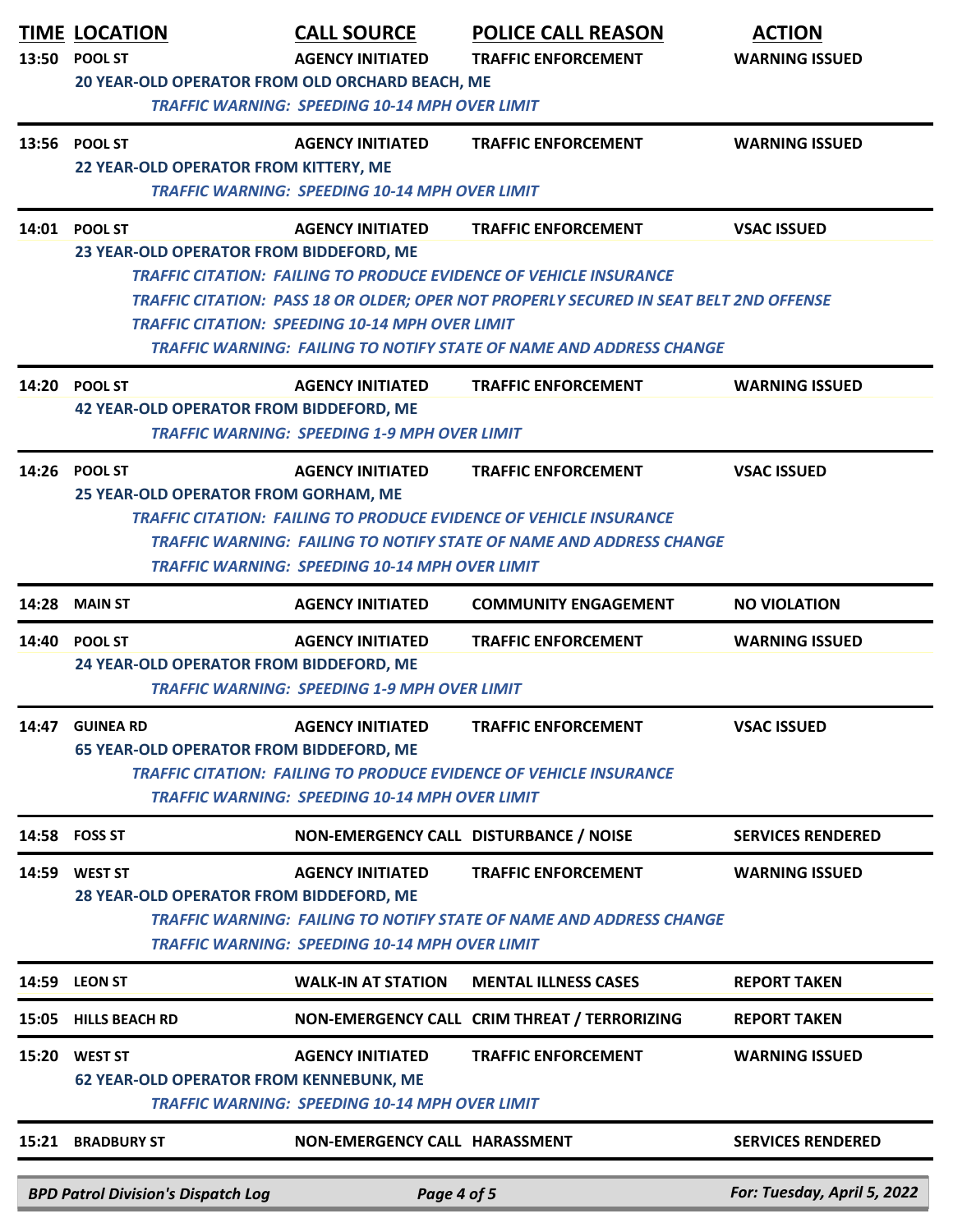|       | <b>TIME LOCATION</b><br>13:50 POOL ST<br>20 YEAR-OLD OPERATOR FROM OLD ORCHARD BEACH, ME | <b>CALL SOURCE</b><br><b>AGENCY INITIATED</b><br><b>TRAFFIC WARNING: SPEEDING 10-14 MPH OVER LIMIT</b> | <b>POLICE CALL REASON</b><br><b>TRAFFIC ENFORCEMENT</b>                                                                                                                                                                                                                         | <b>ACTION</b><br><b>WARNING ISSUED</b> |
|-------|------------------------------------------------------------------------------------------|--------------------------------------------------------------------------------------------------------|---------------------------------------------------------------------------------------------------------------------------------------------------------------------------------------------------------------------------------------------------------------------------------|----------------------------------------|
|       | 13:56 POOL ST<br>22 YEAR-OLD OPERATOR FROM KITTERY, ME                                   | <b>AGENCY INITIATED</b><br><b>TRAFFIC WARNING: SPEEDING 10-14 MPH OVER LIMIT</b>                       | <b>TRAFFIC ENFORCEMENT</b>                                                                                                                                                                                                                                                      | <b>WARNING ISSUED</b>                  |
|       | 14:01 POOL ST<br>23 YEAR-OLD OPERATOR FROM BIDDEFORD, ME                                 | <b>AGENCY INITIATED</b><br><b>TRAFFIC CITATION: SPEEDING 10-14 MPH OVER LIMIT</b>                      | <b>TRAFFIC ENFORCEMENT</b><br><b>TRAFFIC CITATION: FAILING TO PRODUCE EVIDENCE OF VEHICLE INSURANCE</b><br>TRAFFIC CITATION: PASS 18 OR OLDER; OPER NOT PROPERLY SECURED IN SEAT BELT 2ND OFFENSE<br><b>TRAFFIC WARNING: FAILING TO NOTIFY STATE OF NAME AND ADDRESS CHANGE</b> | <b>VSAC ISSUED</b>                     |
|       | 14:20 POOL ST<br>42 YEAR-OLD OPERATOR FROM BIDDEFORD, ME                                 | <b>AGENCY INITIATED</b><br><b>TRAFFIC WARNING: SPEEDING 1-9 MPH OVER LIMIT</b>                         | <b>TRAFFIC ENFORCEMENT</b>                                                                                                                                                                                                                                                      | <b>WARNING ISSUED</b>                  |
|       | 14:26 POOL ST<br>25 YEAR-OLD OPERATOR FROM GORHAM, ME                                    | <b>AGENCY INITIATED</b><br><b>TRAFFIC WARNING: SPEEDING 10-14 MPH OVER LIMIT</b>                       | <b>TRAFFIC ENFORCEMENT</b><br><b>TRAFFIC CITATION: FAILING TO PRODUCE EVIDENCE OF VEHICLE INSURANCE</b><br><b>TRAFFIC WARNING: FAILING TO NOTIFY STATE OF NAME AND ADDRESS CHANGE</b>                                                                                           | <b>VSAC ISSUED</b>                     |
|       | <b>14:28 MAIN ST</b>                                                                     | <b>AGENCY INITIATED</b>                                                                                | <b>COMMUNITY ENGAGEMENT</b>                                                                                                                                                                                                                                                     | <b>NO VIOLATION</b>                    |
|       | 14:40 POOL ST<br>24 YEAR-OLD OPERATOR FROM BIDDEFORD, ME                                 | <b>AGENCY INITIATED</b><br><b>TRAFFIC WARNING: SPEEDING 1-9 MPH OVER LIMIT</b>                         | <b>TRAFFIC ENFORCEMENT</b>                                                                                                                                                                                                                                                      | <b>WARNING ISSUED</b>                  |
| 14:47 | <b>GUINEA RD</b><br><b>65 YEAR-OLD OPERATOR FROM BIDDEFORD, ME</b>                       | <b>AGENCY INITIATED</b><br><b>TRAFFIC WARNING: SPEEDING 10-14 MPH OVER LIMIT</b>                       | <b>TRAFFIC ENFORCEMENT</b><br><b>TRAFFIC CITATION: FAILING TO PRODUCE EVIDENCE OF VEHICLE INSURANCE</b>                                                                                                                                                                         | <b>VSAC ISSUED</b>                     |
| 14:58 | <b>FOSS ST</b>                                                                           | NON-EMERGENCY CALL DISTURBANCE / NOISE                                                                 |                                                                                                                                                                                                                                                                                 | <b>SERVICES RENDERED</b>               |
| 14:59 | <b>WEST ST</b><br>28 YEAR-OLD OPERATOR FROM BIDDEFORD, ME                                | <b>AGENCY INITIATED</b><br><b>TRAFFIC WARNING: SPEEDING 10-14 MPH OVER LIMIT</b>                       | <b>TRAFFIC ENFORCEMENT</b><br><b>TRAFFIC WARNING: FAILING TO NOTIFY STATE OF NAME AND ADDRESS CHANGE</b>                                                                                                                                                                        | <b>WARNING ISSUED</b>                  |
|       | 14:59 LEON ST                                                                            | <b>WALK-IN AT STATION</b>                                                                              | <b>MENTAL ILLNESS CASES</b>                                                                                                                                                                                                                                                     | <b>REPORT TAKEN</b>                    |
| 15:05 | <b>HILLS BEACH RD</b>                                                                    |                                                                                                        | NON-EMERGENCY CALL CRIM THREAT / TERRORIZING                                                                                                                                                                                                                                    | <b>REPORT TAKEN</b>                    |
| 15:20 | <b>WEST ST</b><br><b>62 YEAR-OLD OPERATOR FROM KENNEBUNK, ME</b>                         | <b>AGENCY INITIATED</b><br><b>TRAFFIC WARNING: SPEEDING 10-14 MPH OVER LIMIT</b>                       | <b>TRAFFIC ENFORCEMENT</b>                                                                                                                                                                                                                                                      | <b>WARNING ISSUED</b>                  |
| 15:21 | <b>BRADBURY ST</b>                                                                       | NON-EMERGENCY CALL HARASSMENT                                                                          |                                                                                                                                                                                                                                                                                 | <b>SERVICES RENDERED</b>               |
|       | <b>BPD Patrol Division's Dispatch Log</b>                                                | Page 4 of 5                                                                                            |                                                                                                                                                                                                                                                                                 | For: Tuesday, April 5, 2022            |